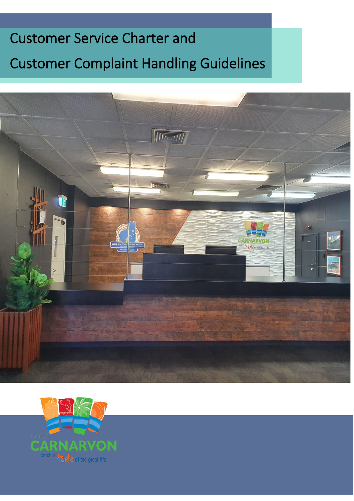# Customer Service Charter and Customer Complaint Handling Guidelines



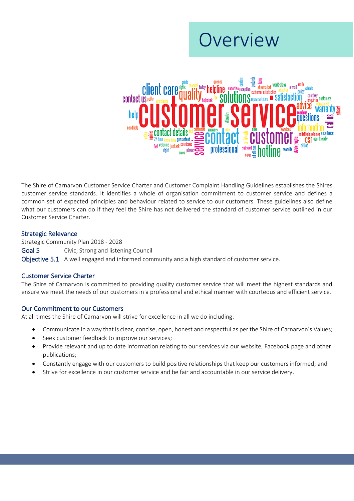## Overview



The Shire of Carnarvon Customer Service Charter and Customer Complaint Handling Guidelines establishes the Shires customer service standards. It identifies a whole of organisation commitment to customer service and defines a common set of expected principles and behaviour related to service to our customers. These guidelines also define what our customers can do if they feel the Shire has not delivered the standard of customer service outlined in our Customer Service Charter.

## Strategic Relevance

Strategic Community Plan 2018 - 2028 Goal 5 Civic, Strong and listening Council

Objective 5.1 A well engaged and informed community and a high standard of customer service.

## Customer Service Charter

The Shire of Carnarvon is committed to providing quality customer service that will meet the highest standards and ensure we meet the needs of our customers in a professional and ethical manner with courteous and efficient service.

## Our Commitment to our Customers

At all times the Shire of Carnarvon will strive for excellence in all we do including:

- Communicate in a way that is clear, concise, open, honest and respectful as per the Shire of Carnarvon's Values;
- Seek customer feedback to improve our services;
- Provide relevant and up to date information relating to our services via our website, Facebook page and other publications;
- Constantly engage with our customers to build positive relationships that keep our customers informed; and
- Strive for excellence in our customer service and be fair and accountable in our service delivery.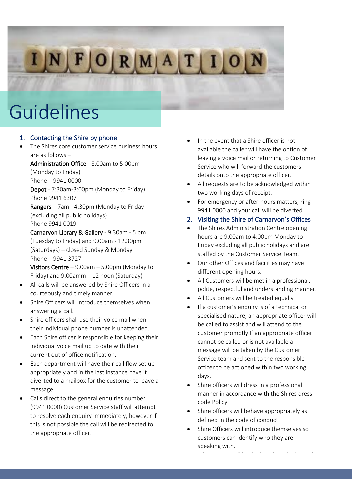# INFORMATION

## Guidelines

## 1. Contacting the Shire by phone

The Shires core customer service business hours are as follows –

Administration Office - 8.00am to 5:00pm

(Monday to Friday) Phone – 9941 0000

Depot - 7:30am-3:00pm (Monday to Friday) Phone 9941 6307

Rangers – 7am - 4:30pm (Monday to Friday (excluding all public holidays) Phone 9941 0019

Carnarvon Library & Gallery - 9.30am - 5 pm (Tuesday to Friday) and 9.00am - 12.30pm (Saturdays) – closed Sunday & Monday Phone – 9941 3727

Visitors Centre – 9.00am – 5.00pm (Monday to Friday) and 9.00amm – 12 noon (Saturday)

- All calls will be answered by Shire Officers in a courteously and timely manner.
- Shire Officers will introduce themselves when answering a call.
- Shire officers shall use their voice mail when their individual phone number is unattended.
- Each Shire officer is responsible for keeping their individual voice mail up to date with their current out of office notification.
- Each department will have their call flow set up appropriately and in the last instance have it diverted to a mailbox for the customer to leave a message.
- Calls direct to the general enquiries number (9941 0000) Customer Service staff will attempt to resolve each enquiry immediately, however if this is not possible the call will be redirected to the appropriate officer.
- In the event that a Shire officer is not available the caller will have the option of leaving a voice mail or returning to Customer Service who will forward the customers details onto the appropriate officer.
- All requests are to be acknowledged within two working days of receipt.
- For emergency or after-hours matters, ring 9941 0000 and your call will be diverted.
- 2. Visiting the Shire of Carnarvon's Offices
- The Shires Administration Centre opening hours are 9.00am to 4:00pm Monday to Friday excluding all public holidays and are staffed by the Customer Service Team.
- Our other Offices and facilities may have different opening hours.
- All Customers will be met in a professional, polite, respectful and understanding manner.
- All Customers will be treated equally
- If a customer's enquiry is of a technical or specialised nature, an appropriate officer will be called to assist and will attend to the customer promptly If an appropriate officer cannot be called or is not available a message will be taken by the Customer Service team and sent to the responsible officer to be actioned within two working days.
- Shire officers will dress in a professional manner in accordance with the Shires dress code Policy.
- Shire officers will behave appropriately as defined in the code of conduct.
- Shire Officers will introduce themselves so customers can identify who they are speaking with.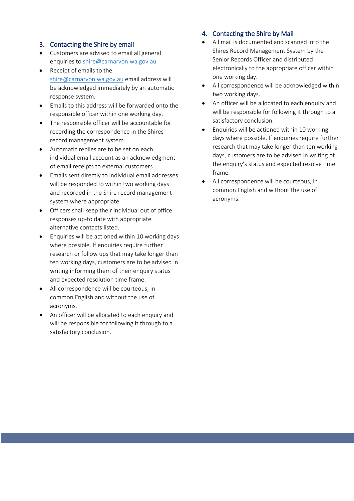## 3. Contacting the Shire by email

- Customers are advised to email all general enquiries t[o shire@carnarvon.wa.gov.au](mailto:shire@carnarvon.wa.gov.au)
- Receipt of emails to the [shire@carnarvon.wa.gov.au](mailto:shire@carnarvon.wa.gov.au) email address will be acknowledged immediately by an automatic response system.
- Emails to this address will be forwarded onto the responsible officer within one working day.
- The responsible officer will be accountable for recording the correspondence in the Shires record management system.
- Automatic replies are to be set on each individual email account as an acknowledgment of email receipts to external customers.
- Emails sent directly to individual email addresses will be responded to within two working days and recorded in the Shire record management system where appropriate.
- Officers shall keep their individual out of office responses up-to date with appropriate alternative contacts listed.
- Enquiries will be actioned within 10 working days where possible. If enquiries require further research or follow ups that may take longer than ten working days, customers are to be advised in writing informing them of their enquiry status and expected resolution time frame.
- All correspondence will be courteous, in common English and without the use of acronyms.
- An officer will be allocated to each enquiry and will be responsible for following it through to a satisfactory conclusion.

## 4. Contacting the Shire by Mail

- All mail is documented and scanned into the Shires Record Management System by the Senior Records Officer and distributed electronically to the appropriate officer within one working day.
- All correspondence will be acknowledged within two working days.
- An officer will be allocated to each enquiry and will be responsible for following it through to a satisfactory conclusion.
- Enquiries will be actioned within 10 working days where possible. If enquiries require further research that may take longer than ten working days, customers are to be advised in writing of the enquiry's status and expected resolve time frame.
- All correspondence will be courteous, in common English and without the use of acronyms.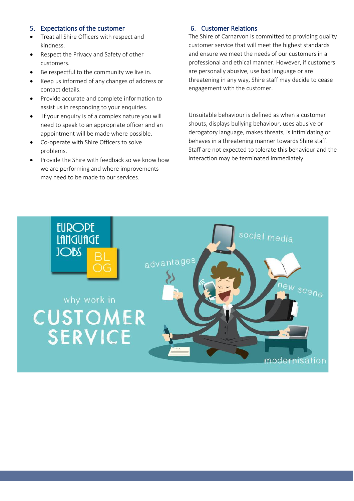## 5. Expectations of the customer

- Treat all Shire Officers with respect and kindness.
- Respect the Privacy and Safety of other customers.
- Be respectful to the community we live in.
- Keep us informed of any changes of address or contact details.
- Provide accurate and complete information to assist us in responding to your enquiries.
- If your enquiry is of a complex nature you will need to speak to an appropriate officer and an appointment will be made where possible.
- Co-operate with Shire Officers to solve problems.
- Provide the Shire with feedback so we know how we are performing and where improvements may need to be made to our services.

## 6. Customer Relations

The Shire of Carnarvon is committed to providing quality customer service that will meet the highest standards and ensure we meet the needs of our customers in a professional and ethical manner. However, if customers are personally abusive, use bad language or are threatening in any way, Shire staff may decide to cease engagement with the customer.

Unsuitable behaviour is defined as when a customer shouts, displays bullying behaviour, uses abusive or derogatory language, makes threats, is intimidating or behaves in a threatening manner towards Shire staff. Staff are not expected to tolerate this behaviour and the interaction may be terminated immediately.

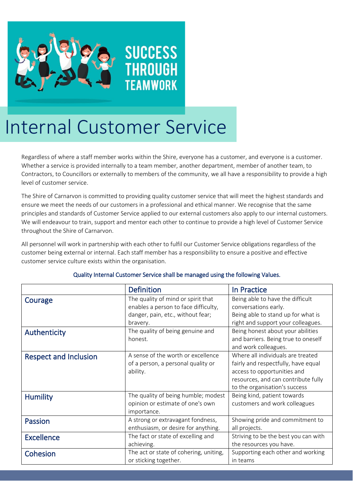

## **SUCCESS THROUGH TEAMWORK**

# Internal Customer Service

Regardless of where a staff member works within the Shire, everyone has a customer, and everyone is a customer. Whether a service is provided internally to a team member, another department, member of another team, to Contractors, to Councillors or externally to members of the community, we all have a responsibility to provide a high level of customer service.

The Shire of Carnarvon is committed to providing quality customer service that will meet the highest standards and ensure we meet the needs of our customers in a professional and ethical manner. We recognise that the same principles and standards of Customer Service applied to our external customers also apply to our internal customers. We will endeavour to train, support and mentor each other to continue to provide a high level of Customer Service throughout the Shire of Carnarvon.

All personnel will work in partnership with each other to fulfil our Customer Service obligations regardless of the customer being external or internal. Each staff member has a responsibility to ensure a positive and effective customer service culture exists within the organisation.

|                              | <b>Definition</b>                                                                      | In Practice                                                                                                                                                                     |
|------------------------------|----------------------------------------------------------------------------------------|---------------------------------------------------------------------------------------------------------------------------------------------------------------------------------|
| Courage                      | The quality of mind or spirit that<br>enables a person to face difficulty,             | Being able to have the difficult<br>conversations early.                                                                                                                        |
|                              | danger, pain, etc., without fear;<br>bravery.                                          | Being able to stand up for what is<br>right and support your colleagues.                                                                                                        |
| Authenticity                 | The quality of being genuine and<br>honest.                                            | Being honest about your abilities<br>and barriers. Being true to oneself<br>and work colleagues.                                                                                |
| <b>Respect and Inclusion</b> | A sense of the worth or excellence<br>of a person, a personal quality or<br>ability.   | Where all individuals are treated<br>fairly and respectfully, have equal<br>access to opportunities and<br>resources, and can contribute fully<br>to the organisation's success |
| <b>Humility</b>              | The quality of being humble; modest<br>opinion or estimate of one's own<br>importance. | Being kind, patient towards<br>customers and work colleagues                                                                                                                    |
| Passion                      | A strong or extravagant fondness,<br>enthusiasm, or desire for anything.               | Showing pride and commitment to<br>all projects.                                                                                                                                |
| <b>Excellence</b>            | The fact or state of excelling and<br>achieving.                                       | Striving to be the best you can with<br>the resources you have.                                                                                                                 |
| Cohesion                     | The act or state of cohering, uniting,<br>or sticking together.                        | Supporting each other and working<br>in teams                                                                                                                                   |

## Quality Internal Customer Service shall be managed using the following Values.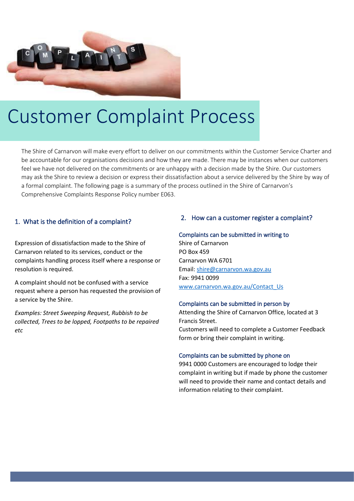

# Customer Complaint Process

The Shire of Carnarvon will make every effort to deliver on our commitments within the Customer Service Charter and be accountable for our organisations decisions and how they are made. There may be instances when our customers feel we have not delivered on the commitments or are unhappy with a decision made by the Shire. Our customers may ask the Shire to review a decision or express their dissatisfaction about a service delivered by the Shire by way of a formal complaint. The following page is a summary of the process outlined in the Shire of Carnarvon's Comprehensive Complaints Response Policy number E063.

## 1. What is the definition of a complaint?

Expression of dissatisfaction made to the Shire of Carnarvon related to its services, conduct or the complaints handling process itself where a response or resolution is required.

A complaint should not be confused with a service request where a person has requested the provision of a service by the Shire.

*Examples: Street Sweeping Request, Rubbish to be collected, Trees to be lopped, Footpaths to be repaired etc*

## 2. How can a customer register a complaint?

#### Complaints can be submitted in writing to

Shire of Carnarvon PO Box 459 Carnarvon WA 6701 Email[: shire@carnarvon.wa.gov.au](mailto:shire@carnarvon.wa.gov.au) Fax: 9941 0099 [www.carnarvon.wa.gov.au/Contact\\_Us](http://www.carnarvon.wa.gov.au/Contact_Us)

#### Complaints can be submitted in person by

Attending the Shire of Carnarvon Office, located at 3 Francis Street. Customers will need to complete a Customer Feedback form or bring their complaint in writing.

### Complaints can be submitted by phone on

9941 0000 Customers are encouraged to lodge their complaint in writing but if made by phone the customer will need to provide their name and contact details and information relating to their complaint.